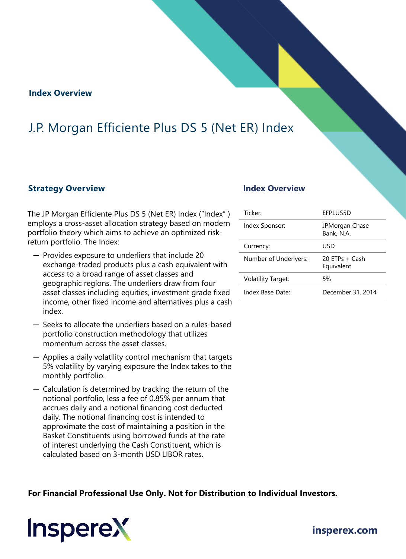### **Index Overview**

## J.P. Morgan Efficiente Plus DS 5 (Net ER) Index

### **Strategy Overview Index Overview**

The JP Morgan Efficiente Plus DS 5 (Net ER) Index ("Index" ) employs a cross-asset allocation strategy based on modern portfolio theory which aims to achieve an optimized riskreturn portfolio. The Index:

- ─ Provides exposure to underliers that include 20 exchange-traded products plus a cash equivalent with access to a broad range of asset classes and geographic regions. The underliers draw from four asset classes including equities, investment grade fixed income, other fixed income and alternatives plus a cash index.
- ─ Seeks to allocate the underliers based on a rules-based portfolio construction methodology that utilizes momentum across the asset classes.
- ─ Applies a daily volatility control mechanism that targets 5% volatility by varying exposure the Index takes to the monthly portfolio.
- ─ Calculation is determined by tracking the return of the notional portfolio, less a fee of 0.85% per annum that accrues daily and a notional financing cost deducted daily. The notional financing cost is intended to approximate the cost of maintaining a position in the Basket Constituents using borrowed funds at the rate of interest underlying the Cash Constituent, which is calculated based on 3-month USD LIBOR rates.

| Ticker:                   | EFPLUS5D                     |
|---------------------------|------------------------------|
| Index Sponsor:            | JPMorgan Chase<br>Bank, N.A. |
| Currency:                 | USD                          |
| Number of Underlyers:     | $20$ FTPs + Cash             |
|                           | Equivalent                   |
| <b>Volatility Target:</b> | 5%                           |

**For Financial Professional Use Only. Not for Distribution to Individual Investors.** 

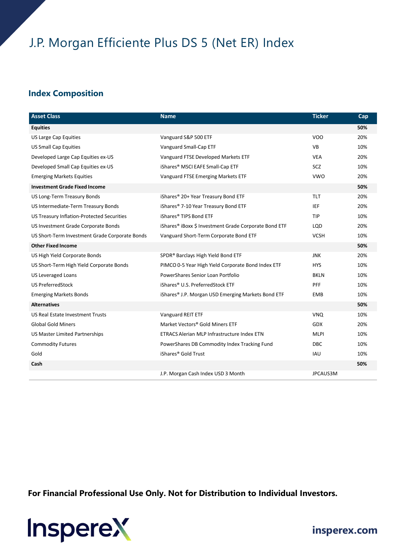# J.P. Morgan Efficiente Plus DS 5 (Net ER) Index

## **Index Composition**

| <b>Asset Class</b>                             | <b>Name</b>                                                    | <b>Ticker</b> | Cap |
|------------------------------------------------|----------------------------------------------------------------|---------------|-----|
| <b>Equities</b>                                |                                                                |               | 50% |
| <b>US Large Cap Equities</b>                   | Vanguard S&P 500 ETF                                           | <b>VOO</b>    | 20% |
| <b>US Small Cap Equities</b>                   | Vanguard Small-Cap ETF                                         | <b>VB</b>     | 10% |
| Developed Large Cap Equities ex-US             | Vanguard FTSE Developed Markets ETF                            | <b>VEA</b>    | 20% |
| Developed Small Cap Equities ex-US             | iShares® MSCI EAFE Small-Cap ETF                               | <b>SCZ</b>    | 10% |
| <b>Emerging Markets Equities</b>               | Vanguard FTSE Emerging Markets ETF                             | <b>VWO</b>    | 20% |
| <b>Investment Grade Fixed Income</b>           |                                                                |               | 50% |
| US Long-Term Treasury Bonds                    | iShares® 20+ Year Treasury Bond ETF                            | <b>TLT</b>    | 20% |
| US Intermediate-Term Treasury Bonds            | iShares® 7-10 Year Treasury Bond ETF                           | IEF           | 20% |
| US Treasury Inflation-Protected Securities     | iShares® TIPS Bond ETF                                         | <b>TIP</b>    | 10% |
| US Investment Grade Corporate Bonds            | iShares® iBoxx \$ Investment Grade Corporate Bond ETF          | LQD           | 20% |
| US Short-Term Investment Grade Corporate Bonds | Vanguard Short-Term Corporate Bond ETF                         | <b>VCSH</b>   | 10% |
| <b>Other Fixed Income</b>                      |                                                                |               | 50% |
| US High Yield Corporate Bonds                  | SPDR® Barclays High Yield Bond ETF                             | <b>JNK</b>    | 20% |
| US Short-Term High Yield Corporate Bonds       | PIMCO 0-5 Year High Yield Corporate Bond Index ETF             | <b>HYS</b>    | 10% |
| <b>US Leveraged Loans</b>                      | PowerShares Senior Loan Portfolio                              | <b>BKLN</b>   | 10% |
| <b>US PreferredStock</b>                       | iShares® U.S. PreferredStock ETF                               | <b>PFF</b>    | 10% |
| <b>Emerging Markets Bonds</b>                  | iShares <sup>®</sup> J.P. Morgan USD Emerging Markets Bond ETF | <b>EMB</b>    | 10% |
| <b>Alternatives</b>                            |                                                                |               | 50% |
| <b>US Real Estate Investment Trusts</b>        | Vanguard REIT ETF                                              | <b>VNQ</b>    | 10% |
| <b>Global Gold Miners</b>                      | Market Vectors® Gold Miners ETF                                | <b>GDX</b>    | 20% |
| <b>US Master Limited Partnerships</b>          | ETRACS Alerian MLP Infrastructure Index ETN                    | <b>MLPI</b>   | 10% |
| <b>Commodity Futures</b>                       | PowerShares DB Commodity Index Tracking Fund                   | <b>DBC</b>    | 10% |
| Gold                                           | iShares <sup>®</sup> Gold Trust                                | <b>IAU</b>    | 10% |
| Cash                                           |                                                                |               | 50% |
|                                                | J.P. Morgan Cash Index USD 3 Month                             | JPCAUS3M      |     |

**For Financial Professional Use Only. Not for Distribution to Individual Investors.** 



**[insperex.com](http://www.insperex.com/)**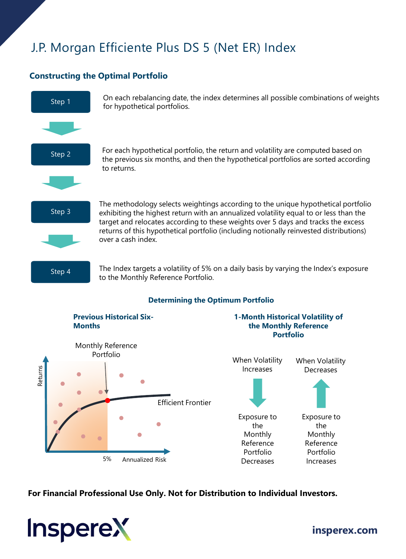# J.P. Morgan Efficiente Plus DS 5 (Net ER) Index

## **Constructing the Optimal Portfolio**



**For Financial Professional Use Only. Not for Distribution to Individual Investors.** 

Portfolio **Decreases** 

5% Annualized Risk



**[insperex.com](http://www.insperex.com/)**

Portfolio Increases